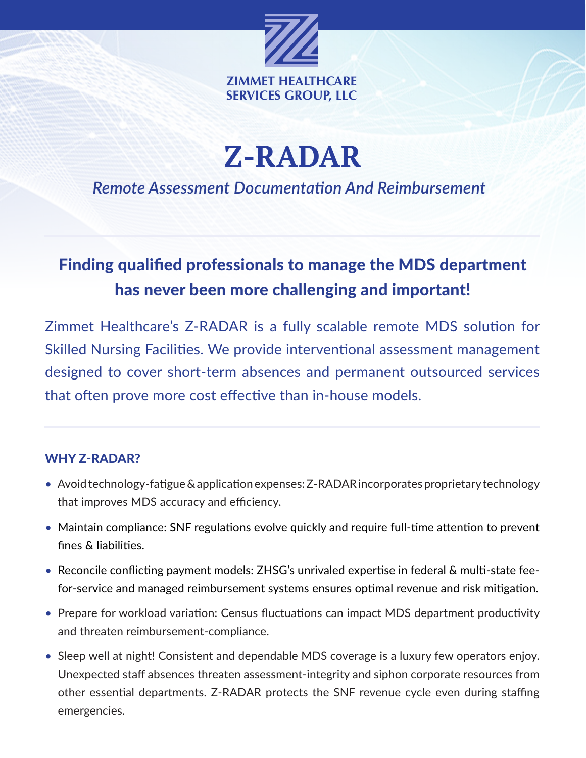

**Z-RADAR** 

*Remote Assessment Documentation And Reimbursement*

## Finding qualified professionals to manage the MDS department has never been more challenging and important!

Zimmet Healthcare's Z-RADAR is a fully scalable remote MDS solution for Skilled Nursing Facilities. We provide interventional assessment management designed to cover short-term absences and permanent outsourced services that often prove more cost effective than in-house models.

## WHY Z-RADAR?

- Avoid technology-fatigue & application expenses: Z-RADAR incorporates proprietary technology that improves MDS accuracy and efficiency.
- Maintain compliance: SNF regulations evolve quickly and require full-time attention to prevent fines & liabilities.
- Reconcile conflicting payment models: ZHSG's unrivaled expertise in federal & multi-state feefor-service and managed reimbursement systems ensures optimal revenue and risk mitigation.
- Prepare for workload variation: Census fluctuations can impact MDS department productivity and threaten reimbursement-compliance.
- Sleep well at night! Consistent and dependable MDS coverage is a luxury few operators enjoy. Unexpected staff absences threaten assessment-integrity and siphon corporate resources from other essential departments. Z-RADAR protects the SNF revenue cycle even during staffing emergencies.